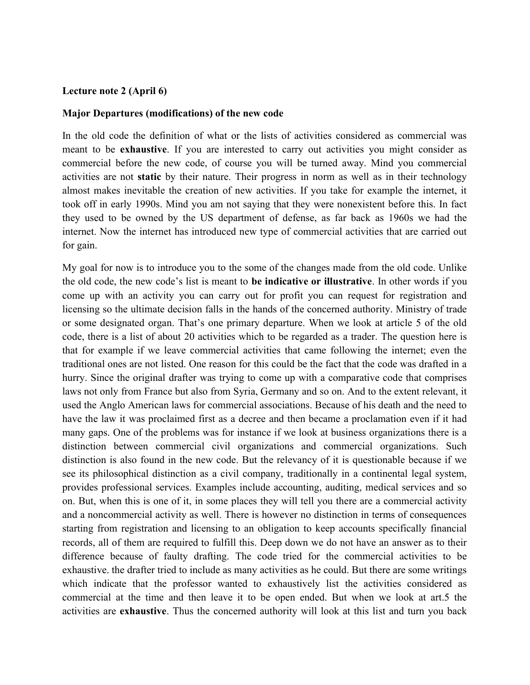#### Lecture note 2 (April 6)

#### Major Departures (modifications) of the new code

In the old code the definition of what or the lists of activities considered as commercial was meant to be exhaustive. If you are interested to carry out activities you might consider as commercial before the new code, of course you will be turned away. Mind you commercial activities are not static by their nature. Their progress in norm as well as in their technology almost makes inevitable the creation of new activities. If you take for example the internet, it took off in early 1990s. Mind you am not saying that they were nonexistent before this. In fact they used to be owned by the US department of defense, as far back as 1960s we had the internet. Now the internet has introduced new type of commercial activities that are carried out for gain.

My goal for now is to introduce you to the some of the changes made from the old code. Unlike the old code, the new code's list is meant to be indicative or illustrative. In other words if you come up with an activity you can carry out for profit you can request for registration and licensing so the ultimate decision falls in the hands of the concerned authority. Ministry of trade or some designated organ. That's one primary departure. When we look at article 5 of the old code, there is a list of about 20 activities which to be regarded as a trader. The question here is that for example if we leave commercial activities that came following the internet; even the traditional ones are not listed. One reason for this could be the fact that the code was drafted in a hurry. Since the original drafter was trying to come up with a comparative code that comprises laws not only from France but also from Syria, Germany and so on. And to the extent relevant, it used the Anglo American laws for commercial associations. Because of his death and the need to have the law it was proclaimed first as a decree and then became a proclamation even if it had many gaps. One of the problems was for instance if we look at business organizations there is a distinction between commercial civil organizations and commercial organizations. Such distinction is also found in the new code. But the relevancy of it is questionable because if we see its philosophical distinction as a civil company, traditionally in a continental legal system, provides professional services. Examples include accounting, auditing, medical services and so on. But, when this is one of it, in some places they will tell you there are a commercial activity and a noncommercial activity as well. There is however no distinction in terms of consequences starting from registration and licensing to an obligation to keep accounts specifically financial records, all of them are required to fulfill this. Deep down we do not have an answer as to their difference because of faulty drafting. The code tried for the commercial activities to be exhaustive. the drafter tried to include as many activities as he could. But there are some writings which indicate that the professor wanted to exhaustively list the activities considered as commercial at the time and then leave it to be open ended. But when we look at art.5 the activities are exhaustive. Thus the concerned authority will look at this list and turn you back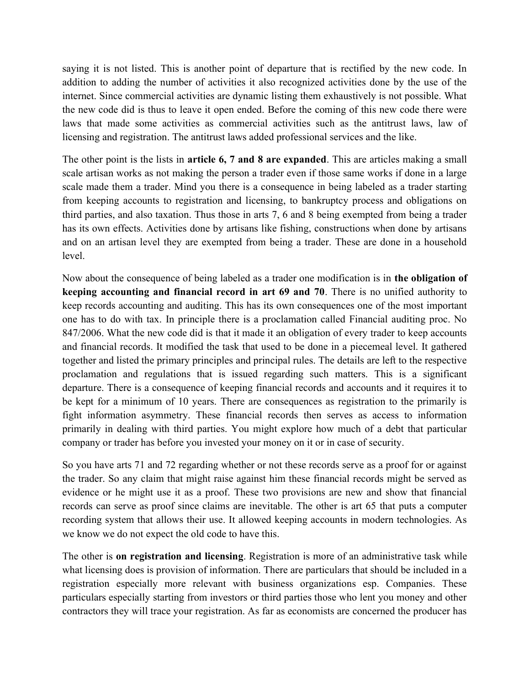saying it is not listed. This is another point of departure that is rectified by the new code. In addition to adding the number of activities it also recognized activities done by the use of the internet. Since commercial activities are dynamic listing them exhaustively is not possible. What the new code did is thus to leave it open ended. Before the coming of this new code there were laws that made some activities as commercial activities such as the antitrust laws, law of licensing and registration. The antitrust laws added professional services and the like.

The other point is the lists in article 6, 7 and 8 are expanded. This are articles making a small scale artisan works as not making the person a trader even if those same works if done in a large scale made them a trader. Mind you there is a consequence in being labeled as a trader starting from keeping accounts to registration and licensing, to bankruptcy process and obligations on third parties, and also taxation. Thus those in arts 7, 6 and 8 being exempted from being a trader has its own effects. Activities done by artisans like fishing, constructions when done by artisans and on an artisan level they are exempted from being a trader. These are done in a household level.

Now about the consequence of being labeled as a trader one modification is in the obligation of keeping accounting and financial record in art 69 and 70. There is no unified authority to keep records accounting and auditing. This has its own consequences one of the most important one has to do with tax. In principle there is a proclamation called Financial auditing proc. No 847/2006. What the new code did is that it made it an obligation of every trader to keep accounts and financial records. It modified the task that used to be done in a piecemeal level. It gathered together and listed the primary principles and principal rules. The details are left to the respective proclamation and regulations that is issued regarding such matters. This is a significant departure. There is a consequence of keeping financial records and accounts and it requires it to be kept for a minimum of 10 years. There are consequences as registration to the primarily is fight information asymmetry. These financial records then serves as access to information primarily in dealing with third parties. You might explore how much of a debt that particular company or trader has before you invested your money on it or in case of security.

So you have arts 71 and 72 regarding whether or not these records serve as a proof for or against the trader. So any claim that might raise against him these financial records might be served as evidence or he might use it as a proof. These two provisions are new and show that financial records can serve as proof since claims are inevitable. The other is art 65 that puts a computer recording system that allows their use. It allowed keeping accounts in modern technologies. As we know we do not expect the old code to have this.

The other is on registration and licensing. Registration is more of an administrative task while what licensing does is provision of information. There are particulars that should be included in a registration especially more relevant with business organizations esp. Companies. These particulars especially starting from investors or third parties those who lent you money and other contractors they will trace your registration. As far as economists are concerned the producer has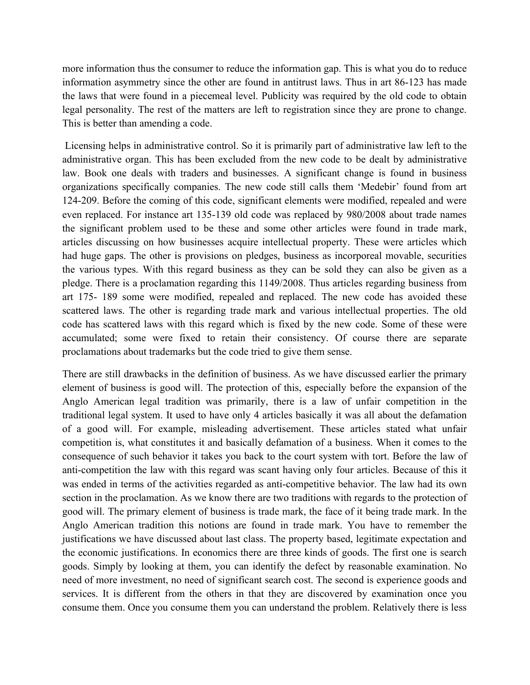more information thus the consumer to reduce the information gap. This is what you do to reduce information asymmetry since the other are found in antitrust laws. Thus in art 86-123 has made the laws that were found in a piecemeal level. Publicity was required by the old code to obtain legal personality. The rest of the matters are left to registration since they are prone to change. This is better than amending a code.

 Licensing helps in administrative control. So it is primarily part of administrative law left to the administrative organ. This has been excluded from the new code to be dealt by administrative law. Book one deals with traders and businesses. A significant change is found in business organizations specifically companies. The new code still calls them 'Medebir' found from art 124-209. Before the coming of this code, significant elements were modified, repealed and were even replaced. For instance art 135-139 old code was replaced by 980/2008 about trade names the significant problem used to be these and some other articles were found in trade mark, articles discussing on how businesses acquire intellectual property. These were articles which had huge gaps. The other is provisions on pledges, business as incorporeal movable, securities the various types. With this regard business as they can be sold they can also be given as a pledge. There is a proclamation regarding this 1149/2008. Thus articles regarding business from art 175- 189 some were modified, repealed and replaced. The new code has avoided these scattered laws. The other is regarding trade mark and various intellectual properties. The old code has scattered laws with this regard which is fixed by the new code. Some of these were accumulated; some were fixed to retain their consistency. Of course there are separate proclamations about trademarks but the code tried to give them sense.

There are still drawbacks in the definition of business. As we have discussed earlier the primary element of business is good will. The protection of this, especially before the expansion of the Anglo American legal tradition was primarily, there is a law of unfair competition in the traditional legal system. It used to have only 4 articles basically it was all about the defamation of a good will. For example, misleading advertisement. These articles stated what unfair competition is, what constitutes it and basically defamation of a business. When it comes to the consequence of such behavior it takes you back to the court system with tort. Before the law of anti-competition the law with this regard was scant having only four articles. Because of this it was ended in terms of the activities regarded as anti-competitive behavior. The law had its own section in the proclamation. As we know there are two traditions with regards to the protection of good will. The primary element of business is trade mark, the face of it being trade mark. In the Anglo American tradition this notions are found in trade mark. You have to remember the justifications we have discussed about last class. The property based, legitimate expectation and the economic justifications. In economics there are three kinds of goods. The first one is search goods. Simply by looking at them, you can identify the defect by reasonable examination. No need of more investment, no need of significant search cost. The second is experience goods and services. It is different from the others in that they are discovered by examination once you consume them. Once you consume them you can understand the problem. Relatively there is less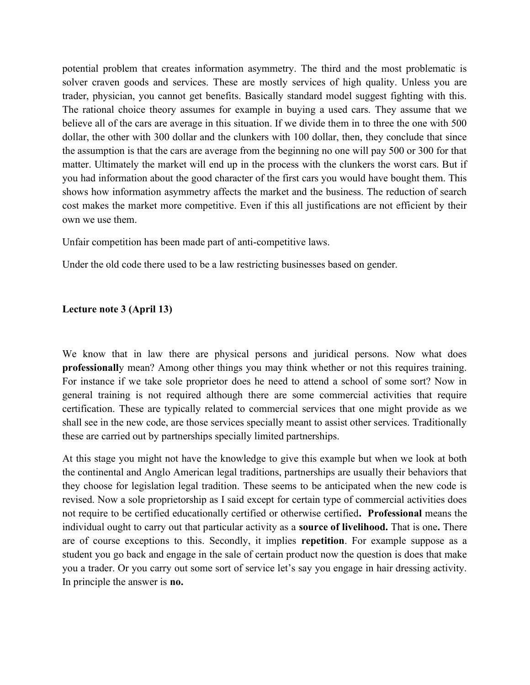potential problem that creates information asymmetry. The third and the most problematic is solver craven goods and services. These are mostly services of high quality. Unless you are trader, physician, you cannot get benefits. Basically standard model suggest fighting with this. The rational choice theory assumes for example in buying a used cars. They assume that we believe all of the cars are average in this situation. If we divide them in to three the one with 500 dollar, the other with 300 dollar and the clunkers with 100 dollar, then, they conclude that since the assumption is that the cars are average from the beginning no one will pay 500 or 300 for that matter. Ultimately the market will end up in the process with the clunkers the worst cars. But if you had information about the good character of the first cars you would have bought them. This shows how information asymmetry affects the market and the business. The reduction of search cost makes the market more competitive. Even if this all justifications are not efficient by their own we use them.

Unfair competition has been made part of anti-competitive laws.

Under the old code there used to be a law restricting businesses based on gender.

# Lecture note 3 (April 13)

We know that in law there are physical persons and juridical persons. Now what does professionally mean? Among other things you may think whether or not this requires training. For instance if we take sole proprietor does he need to attend a school of some sort? Now in general training is not required although there are some commercial activities that require certification. These are typically related to commercial services that one might provide as we shall see in the new code, are those services specially meant to assist other services. Traditionally these are carried out by partnerships specially limited partnerships.

At this stage you might not have the knowledge to give this example but when we look at both the continental and Anglo American legal traditions, partnerships are usually their behaviors that they choose for legislation legal tradition. These seems to be anticipated when the new code is revised. Now a sole proprietorship as I said except for certain type of commercial activities does not require to be certified educationally certified or otherwise certified. Professional means the individual ought to carry out that particular activity as a **source of livelihood.** That is one. There are of course exceptions to this. Secondly, it implies repetition. For example suppose as a student you go back and engage in the sale of certain product now the question is does that make you a trader. Or you carry out some sort of service let's say you engage in hair dressing activity. In principle the answer is no.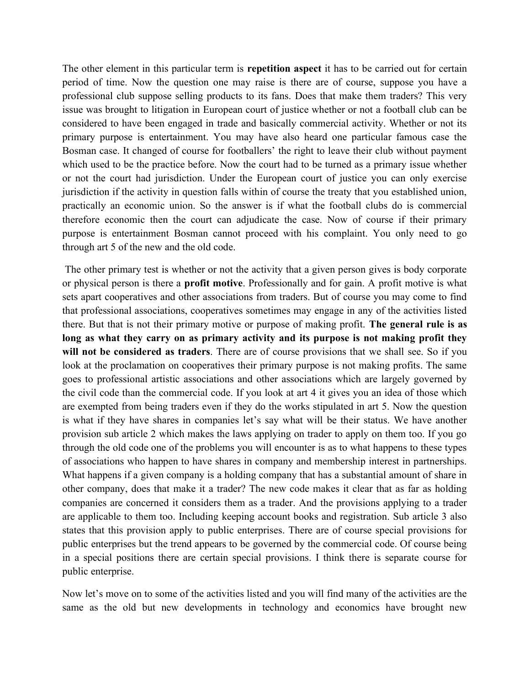The other element in this particular term is **repetition aspect** it has to be carried out for certain period of time. Now the question one may raise is there are of course, suppose you have a professional club suppose selling products to its fans. Does that make them traders? This very issue was brought to litigation in European court of justice whether or not a football club can be considered to have been engaged in trade and basically commercial activity. Whether or not its primary purpose is entertainment. You may have also heard one particular famous case the Bosman case. It changed of course for footballers' the right to leave their club without payment which used to be the practice before. Now the court had to be turned as a primary issue whether or not the court had jurisdiction. Under the European court of justice you can only exercise jurisdiction if the activity in question falls within of course the treaty that you established union, practically an economic union. So the answer is if what the football clubs do is commercial therefore economic then the court can adjudicate the case. Now of course if their primary purpose is entertainment Bosman cannot proceed with his complaint. You only need to go through art 5 of the new and the old code.

 The other primary test is whether or not the activity that a given person gives is body corporate or physical person is there a profit motive. Professionally and for gain. A profit motive is what sets apart cooperatives and other associations from traders. But of course you may come to find that professional associations, cooperatives sometimes may engage in any of the activities listed there. But that is not their primary motive or purpose of making profit. The general rule is as long as what they carry on as primary activity and its purpose is not making profit they will not be considered as traders. There are of course provisions that we shall see. So if you look at the proclamation on cooperatives their primary purpose is not making profits. The same goes to professional artistic associations and other associations which are largely governed by the civil code than the commercial code. If you look at art 4 it gives you an idea of those which are exempted from being traders even if they do the works stipulated in art 5. Now the question is what if they have shares in companies let's say what will be their status. We have another provision sub article 2 which makes the laws applying on trader to apply on them too. If you go through the old code one of the problems you will encounter is as to what happens to these types of associations who happen to have shares in company and membership interest in partnerships. What happens if a given company is a holding company that has a substantial amount of share in other company, does that make it a trader? The new code makes it clear that as far as holding companies are concerned it considers them as a trader. And the provisions applying to a trader are applicable to them too. Including keeping account books and registration. Sub article 3 also states that this provision apply to public enterprises. There are of course special provisions for public enterprises but the trend appears to be governed by the commercial code. Of course being in a special positions there are certain special provisions. I think there is separate course for public enterprise.

Now let's move on to some of the activities listed and you will find many of the activities are the same as the old but new developments in technology and economics have brought new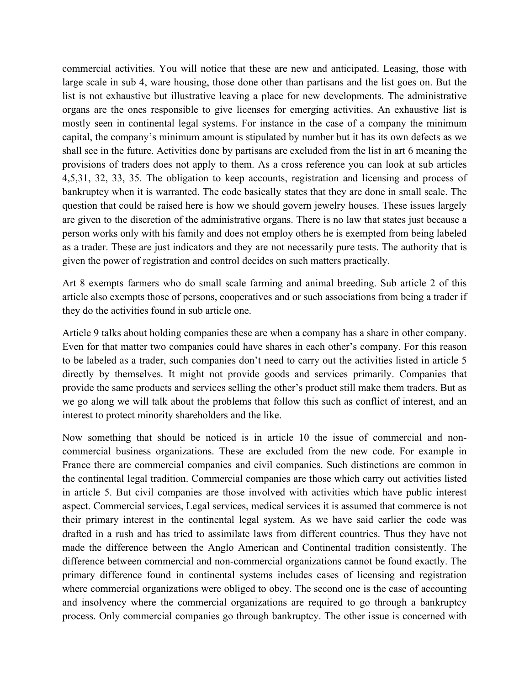commercial activities. You will notice that these are new and anticipated. Leasing, those with large scale in sub 4, ware housing, those done other than partisans and the list goes on. But the list is not exhaustive but illustrative leaving a place for new developments. The administrative organs are the ones responsible to give licenses for emerging activities. An exhaustive list is mostly seen in continental legal systems. For instance in the case of a company the minimum capital, the company's minimum amount is stipulated by number but it has its own defects as we shall see in the future. Activities done by partisans are excluded from the list in art 6 meaning the provisions of traders does not apply to them. As a cross reference you can look at sub articles 4,5,31, 32, 33, 35. The obligation to keep accounts, registration and licensing and process of bankruptcy when it is warranted. The code basically states that they are done in small scale. The question that could be raised here is how we should govern jewelry houses. These issues largely are given to the discretion of the administrative organs. There is no law that states just because a person works only with his family and does not employ others he is exempted from being labeled as a trader. These are just indicators and they are not necessarily pure tests. The authority that is given the power of registration and control decides on such matters practically.

Art 8 exempts farmers who do small scale farming and animal breeding. Sub article 2 of this article also exempts those of persons, cooperatives and or such associations from being a trader if they do the activities found in sub article one.

Article 9 talks about holding companies these are when a company has a share in other company. Even for that matter two companies could have shares in each other's company. For this reason to be labeled as a trader, such companies don't need to carry out the activities listed in article 5 directly by themselves. It might not provide goods and services primarily. Companies that provide the same products and services selling the other's product still make them traders. But as we go along we will talk about the problems that follow this such as conflict of interest, and an interest to protect minority shareholders and the like.

Now something that should be noticed is in article 10 the issue of commercial and noncommercial business organizations. These are excluded from the new code. For example in France there are commercial companies and civil companies. Such distinctions are common in the continental legal tradition. Commercial companies are those which carry out activities listed in article 5. But civil companies are those involved with activities which have public interest aspect. Commercial services, Legal services, medical services it is assumed that commerce is not their primary interest in the continental legal system. As we have said earlier the code was drafted in a rush and has tried to assimilate laws from different countries. Thus they have not made the difference between the Anglo American and Continental tradition consistently. The difference between commercial and non-commercial organizations cannot be found exactly. The primary difference found in continental systems includes cases of licensing and registration where commercial organizations were obliged to obey. The second one is the case of accounting and insolvency where the commercial organizations are required to go through a bankruptcy process. Only commercial companies go through bankruptcy. The other issue is concerned with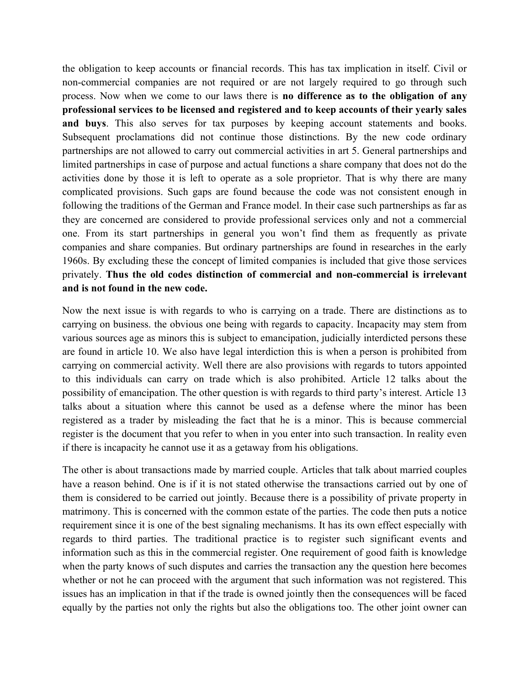the obligation to keep accounts or financial records. This has tax implication in itself. Civil or non-commercial companies are not required or are not largely required to go through such process. Now when we come to our laws there is no difference as to the obligation of any professional services to be licensed and registered and to keep accounts of their yearly sales and buys. This also serves for tax purposes by keeping account statements and books. Subsequent proclamations did not continue those distinctions. By the new code ordinary partnerships are not allowed to carry out commercial activities in art 5. General partnerships and limited partnerships in case of purpose and actual functions a share company that does not do the activities done by those it is left to operate as a sole proprietor. That is why there are many complicated provisions. Such gaps are found because the code was not consistent enough in following the traditions of the German and France model. In their case such partnerships as far as they are concerned are considered to provide professional services only and not a commercial one. From its start partnerships in general you won't find them as frequently as private companies and share companies. But ordinary partnerships are found in researches in the early 1960s. By excluding these the concept of limited companies is included that give those services privately. Thus the old codes distinction of commercial and non-commercial is irrelevant and is not found in the new code.

Now the next issue is with regards to who is carrying on a trade. There are distinctions as to carrying on business. the obvious one being with regards to capacity. Incapacity may stem from various sources age as minors this is subject to emancipation, judicially interdicted persons these are found in article 10. We also have legal interdiction this is when a person is prohibited from carrying on commercial activity. Well there are also provisions with regards to tutors appointed to this individuals can carry on trade which is also prohibited. Article 12 talks about the possibility of emancipation. The other question is with regards to third party's interest. Article 13 talks about a situation where this cannot be used as a defense where the minor has been registered as a trader by misleading the fact that he is a minor. This is because commercial register is the document that you refer to when in you enter into such transaction. In reality even if there is incapacity he cannot use it as a getaway from his obligations.

The other is about transactions made by married couple. Articles that talk about married couples have a reason behind. One is if it is not stated otherwise the transactions carried out by one of them is considered to be carried out jointly. Because there is a possibility of private property in matrimony. This is concerned with the common estate of the parties. The code then puts a notice requirement since it is one of the best signaling mechanisms. It has its own effect especially with regards to third parties. The traditional practice is to register such significant events and information such as this in the commercial register. One requirement of good faith is knowledge when the party knows of such disputes and carries the transaction any the question here becomes whether or not he can proceed with the argument that such information was not registered. This issues has an implication in that if the trade is owned jointly then the consequences will be faced equally by the parties not only the rights but also the obligations too. The other joint owner can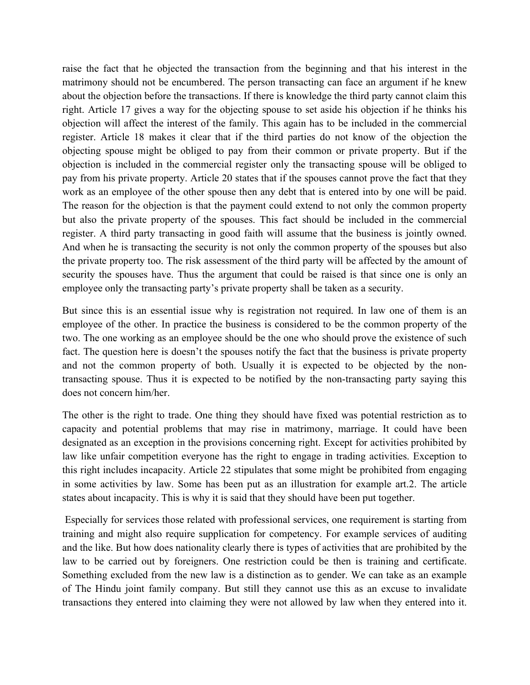raise the fact that he objected the transaction from the beginning and that his interest in the matrimony should not be encumbered. The person transacting can face an argument if he knew about the objection before the transactions. If there is knowledge the third party cannot claim this right. Article 17 gives a way for the objecting spouse to set aside his objection if he thinks his objection will affect the interest of the family. This again has to be included in the commercial register. Article 18 makes it clear that if the third parties do not know of the objection the objecting spouse might be obliged to pay from their common or private property. But if the objection is included in the commercial register only the transacting spouse will be obliged to pay from his private property. Article 20 states that if the spouses cannot prove the fact that they work as an employee of the other spouse then any debt that is entered into by one will be paid. The reason for the objection is that the payment could extend to not only the common property but also the private property of the spouses. This fact should be included in the commercial register. A third party transacting in good faith will assume that the business is jointly owned. And when he is transacting the security is not only the common property of the spouses but also the private property too. The risk assessment of the third party will be affected by the amount of security the spouses have. Thus the argument that could be raised is that since one is only an employee only the transacting party's private property shall be taken as a security.

But since this is an essential issue why is registration not required. In law one of them is an employee of the other. In practice the business is considered to be the common property of the two. The one working as an employee should be the one who should prove the existence of such fact. The question here is doesn't the spouses notify the fact that the business is private property and not the common property of both. Usually it is expected to be objected by the nontransacting spouse. Thus it is expected to be notified by the non-transacting party saying this does not concern him/her.

The other is the right to trade. One thing they should have fixed was potential restriction as to capacity and potential problems that may rise in matrimony, marriage. It could have been designated as an exception in the provisions concerning right. Except for activities prohibited by law like unfair competition everyone has the right to engage in trading activities. Exception to this right includes incapacity. Article 22 stipulates that some might be prohibited from engaging in some activities by law. Some has been put as an illustration for example art.2. The article states about incapacity. This is why it is said that they should have been put together.

 Especially for services those related with professional services, one requirement is starting from training and might also require supplication for competency. For example services of auditing and the like. But how does nationality clearly there is types of activities that are prohibited by the law to be carried out by foreigners. One restriction could be then is training and certificate. Something excluded from the new law is a distinction as to gender. We can take as an example of The Hindu joint family company. But still they cannot use this as an excuse to invalidate transactions they entered into claiming they were not allowed by law when they entered into it.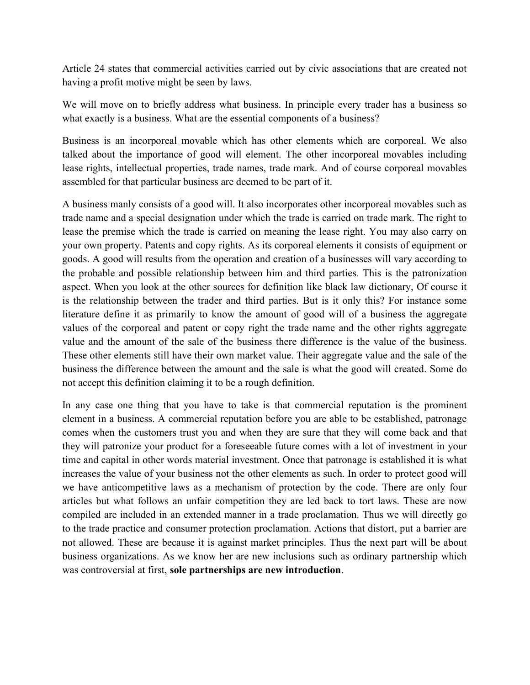Article 24 states that commercial activities carried out by civic associations that are created not having a profit motive might be seen by laws.

We will move on to briefly address what business. In principle every trader has a business so what exactly is a business. What are the essential components of a business?

Business is an incorporeal movable which has other elements which are corporeal. We also talked about the importance of good will element. The other incorporeal movables including lease rights, intellectual properties, trade names, trade mark. And of course corporeal movables assembled for that particular business are deemed to be part of it.

A business manly consists of a good will. It also incorporates other incorporeal movables such as trade name and a special designation under which the trade is carried on trade mark. The right to lease the premise which the trade is carried on meaning the lease right. You may also carry on your own property. Patents and copy rights. As its corporeal elements it consists of equipment or goods. A good will results from the operation and creation of a businesses will vary according to the probable and possible relationship between him and third parties. This is the patronization aspect. When you look at the other sources for definition like black law dictionary, Of course it is the relationship between the trader and third parties. But is it only this? For instance some literature define it as primarily to know the amount of good will of a business the aggregate values of the corporeal and patent or copy right the trade name and the other rights aggregate value and the amount of the sale of the business there difference is the value of the business. These other elements still have their own market value. Their aggregate value and the sale of the business the difference between the amount and the sale is what the good will created. Some do not accept this definition claiming it to be a rough definition.

In any case one thing that you have to take is that commercial reputation is the prominent element in a business. A commercial reputation before you are able to be established, patronage comes when the customers trust you and when they are sure that they will come back and that they will patronize your product for a foreseeable future comes with a lot of investment in your time and capital in other words material investment. Once that patronage is established it is what increases the value of your business not the other elements as such. In order to protect good will we have anticompetitive laws as a mechanism of protection by the code. There are only four articles but what follows an unfair competition they are led back to tort laws. These are now compiled are included in an extended manner in a trade proclamation. Thus we will directly go to the trade practice and consumer protection proclamation. Actions that distort, put a barrier are not allowed. These are because it is against market principles. Thus the next part will be about business organizations. As we know her are new inclusions such as ordinary partnership which was controversial at first, sole partnerships are new introduction.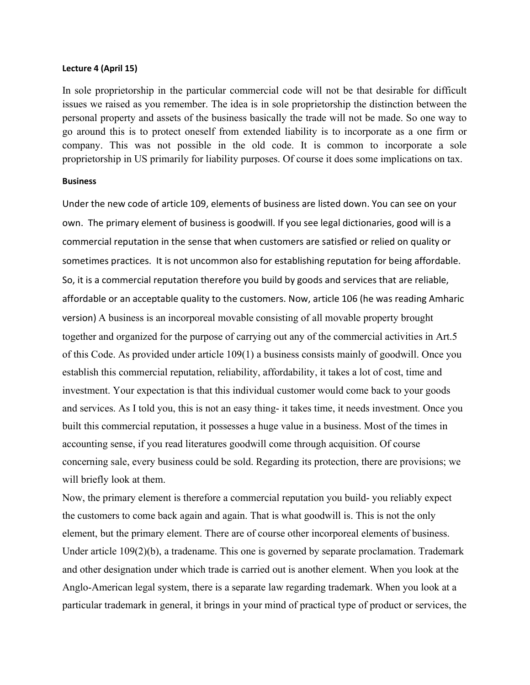#### Lecture 4 (April 15)

In sole proprietorship in the particular commercial code will not be that desirable for difficult issues we raised as you remember. The idea is in sole proprietorship the distinction between the personal property and assets of the business basically the trade will not be made. So one way to go around this is to protect oneself from extended liability is to incorporate as a one firm or company. This was not possible in the old code. It is common to incorporate a sole proprietorship in US primarily for liability purposes. Of course it does some implications on tax.

#### Business

Under the new code of article 109, elements of business are listed down. You can see on your own. The primary element of business is goodwill. If you see legal dictionaries, good will is a commercial reputation in the sense that when customers are satisfied or relied on quality or sometimes practices. It is not uncommon also for establishing reputation for being affordable. So, it is a commercial reputation therefore you build by goods and services that are reliable, affordable or an acceptable quality to the customers. Now, article 106 (he was reading Amharic version) A business is an incorporeal movable consisting of all movable property brought together and organized for the purpose of carrying out any of the commercial activities in Art.5 of this Code. As provided under article 109(1) a business consists mainly of goodwill. Once you establish this commercial reputation, reliability, affordability, it takes a lot of cost, time and investment. Your expectation is that this individual customer would come back to your goods and services. As I told you, this is not an easy thing- it takes time, it needs investment. Once you built this commercial reputation, it possesses a huge value in a business. Most of the times in accounting sense, if you read literatures goodwill come through acquisition. Of course concerning sale, every business could be sold. Regarding its protection, there are provisions; we will briefly look at them.

Now, the primary element is therefore a commercial reputation you build- you reliably expect the customers to come back again and again. That is what goodwill is. This is not the only element, but the primary element. There are of course other incorporeal elements of business. Under article 109(2)(b), a tradename. This one is governed by separate proclamation. Trademark and other designation under which trade is carried out is another element. When you look at the Anglo-American legal system, there is a separate law regarding trademark. When you look at a particular trademark in general, it brings in your mind of practical type of product or services, the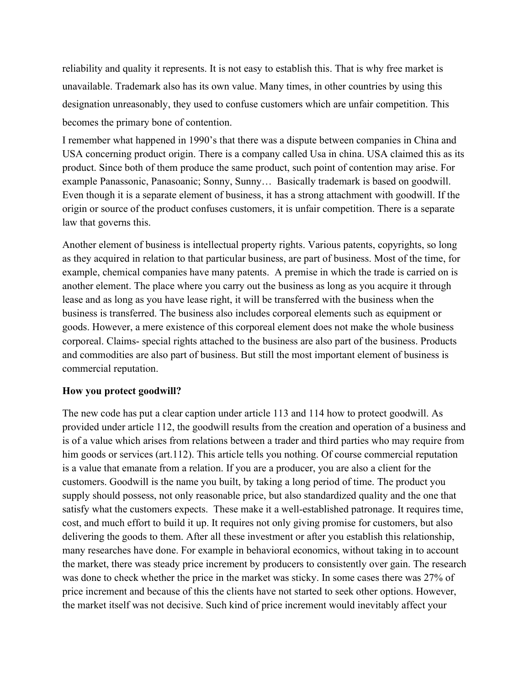reliability and quality it represents. It is not easy to establish this. That is why free market is unavailable. Trademark also has its own value. Many times, in other countries by using this designation unreasonably, they used to confuse customers which are unfair competition. This becomes the primary bone of contention.

I remember what happened in 1990's that there was a dispute between companies in China and USA concerning product origin. There is a company called Usa in china. USA claimed this as its product. Since both of them produce the same product, such point of contention may arise. For example Panassonic, Panasoanic; Sonny, Sunny… Basically trademark is based on goodwill. Even though it is a separate element of business, it has a strong attachment with goodwill. If the origin or source of the product confuses customers, it is unfair competition. There is a separate law that governs this.

Another element of business is intellectual property rights. Various patents, copyrights, so long as they acquired in relation to that particular business, are part of business. Most of the time, for example, chemical companies have many patents. A premise in which the trade is carried on is another element. The place where you carry out the business as long as you acquire it through lease and as long as you have lease right, it will be transferred with the business when the business is transferred. The business also includes corporeal elements such as equipment or goods. However, a mere existence of this corporeal element does not make the whole business corporeal. Claims- special rights attached to the business are also part of the business. Products and commodities are also part of business. But still the most important element of business is commercial reputation.

# How you protect goodwill?

The new code has put a clear caption under article 113 and 114 how to protect goodwill. As provided under article 112, the goodwill results from the creation and operation of a business and is of a value which arises from relations between a trader and third parties who may require from him goods or services (art.112). This article tells you nothing. Of course commercial reputation is a value that emanate from a relation. If you are a producer, you are also a client for the customers. Goodwill is the name you built, by taking a long period of time. The product you supply should possess, not only reasonable price, but also standardized quality and the one that satisfy what the customers expects. These make it a well-established patronage. It requires time, cost, and much effort to build it up. It requires not only giving promise for customers, but also delivering the goods to them. After all these investment or after you establish this relationship, many researches have done. For example in behavioral economics, without taking in to account the market, there was steady price increment by producers to consistently over gain. The research was done to check whether the price in the market was sticky. In some cases there was 27% of price increment and because of this the clients have not started to seek other options. However, the market itself was not decisive. Such kind of price increment would inevitably affect your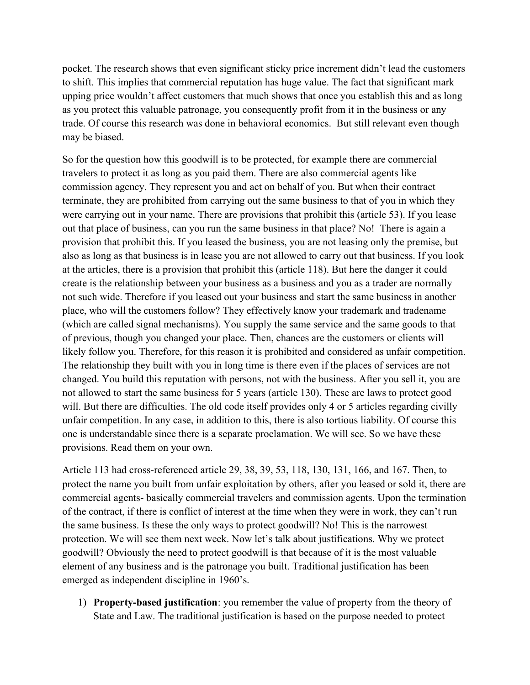pocket. The research shows that even significant sticky price increment didn't lead the customers to shift. This implies that commercial reputation has huge value. The fact that significant mark upping price wouldn't affect customers that much shows that once you establish this and as long as you protect this valuable patronage, you consequently profit from it in the business or any trade. Of course this research was done in behavioral economics. But still relevant even though may be biased.

So for the question how this goodwill is to be protected, for example there are commercial travelers to protect it as long as you paid them. There are also commercial agents like commission agency. They represent you and act on behalf of you. But when their contract terminate, they are prohibited from carrying out the same business to that of you in which they were carrying out in your name. There are provisions that prohibit this (article 53). If you lease out that place of business, can you run the same business in that place? No! There is again a provision that prohibit this. If you leased the business, you are not leasing only the premise, but also as long as that business is in lease you are not allowed to carry out that business. If you look at the articles, there is a provision that prohibit this (article 118). But here the danger it could create is the relationship between your business as a business and you as a trader are normally not such wide. Therefore if you leased out your business and start the same business in another place, who will the customers follow? They effectively know your trademark and tradename (which are called signal mechanisms). You supply the same service and the same goods to that of previous, though you changed your place. Then, chances are the customers or clients will likely follow you. Therefore, for this reason it is prohibited and considered as unfair competition. The relationship they built with you in long time is there even if the places of services are not changed. You build this reputation with persons, not with the business. After you sell it, you are not allowed to start the same business for 5 years (article 130). These are laws to protect good will. But there are difficulties. The old code itself provides only 4 or 5 articles regarding civilly unfair competition. In any case, in addition to this, there is also tortious liability. Of course this one is understandable since there is a separate proclamation. We will see. So we have these provisions. Read them on your own.

Article 113 had cross-referenced article 29, 38, 39, 53, 118, 130, 131, 166, and 167. Then, to protect the name you built from unfair exploitation by others, after you leased or sold it, there are commercial agents- basically commercial travelers and commission agents. Upon the termination of the contract, if there is conflict of interest at the time when they were in work, they can't run the same business. Is these the only ways to protect goodwill? No! This is the narrowest protection. We will see them next week. Now let's talk about justifications. Why we protect goodwill? Obviously the need to protect goodwill is that because of it is the most valuable element of any business and is the patronage you built. Traditional justification has been emerged as independent discipline in 1960's.

1) Property-based justification: you remember the value of property from the theory of State and Law. The traditional justification is based on the purpose needed to protect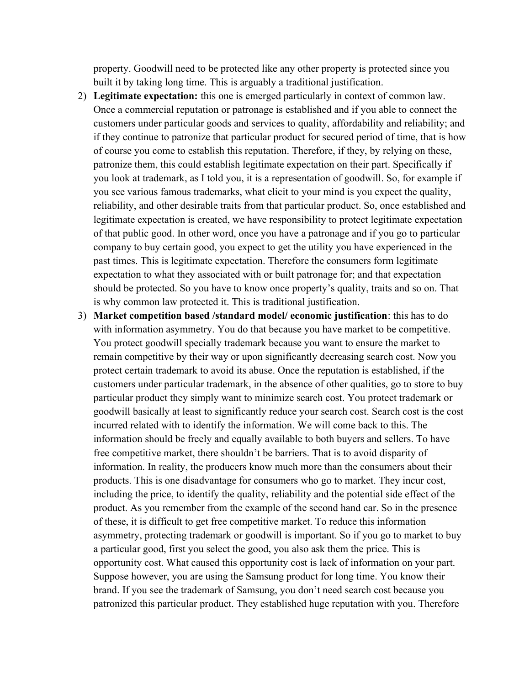property. Goodwill need to be protected like any other property is protected since you built it by taking long time. This is arguably a traditional justification.

- 2) Legitimate expectation: this one is emerged particularly in context of common law. Once a commercial reputation or patronage is established and if you able to connect the customers under particular goods and services to quality, affordability and reliability; and if they continue to patronize that particular product for secured period of time, that is how of course you come to establish this reputation. Therefore, if they, by relying on these, patronize them, this could establish legitimate expectation on their part. Specifically if you look at trademark, as I told you, it is a representation of goodwill. So, for example if you see various famous trademarks, what elicit to your mind is you expect the quality, reliability, and other desirable traits from that particular product. So, once established and legitimate expectation is created, we have responsibility to protect legitimate expectation of that public good. In other word, once you have a patronage and if you go to particular company to buy certain good, you expect to get the utility you have experienced in the past times. This is legitimate expectation. Therefore the consumers form legitimate expectation to what they associated with or built patronage for; and that expectation should be protected. So you have to know once property's quality, traits and so on. That is why common law protected it. This is traditional justification.
- 3) Market competition based /standard model/ economic justification: this has to do with information asymmetry. You do that because you have market to be competitive. You protect goodwill specially trademark because you want to ensure the market to remain competitive by their way or upon significantly decreasing search cost. Now you protect certain trademark to avoid its abuse. Once the reputation is established, if the customers under particular trademark, in the absence of other qualities, go to store to buy particular product they simply want to minimize search cost. You protect trademark or goodwill basically at least to significantly reduce your search cost. Search cost is the cost incurred related with to identify the information. We will come back to this. The information should be freely and equally available to both buyers and sellers. To have free competitive market, there shouldn't be barriers. That is to avoid disparity of information. In reality, the producers know much more than the consumers about their products. This is one disadvantage for consumers who go to market. They incur cost, including the price, to identify the quality, reliability and the potential side effect of the product. As you remember from the example of the second hand car. So in the presence of these, it is difficult to get free competitive market. To reduce this information asymmetry, protecting trademark or goodwill is important. So if you go to market to buy a particular good, first you select the good, you also ask them the price. This is opportunity cost. What caused this opportunity cost is lack of information on your part. Suppose however, you are using the Samsung product for long time. You know their brand. If you see the trademark of Samsung, you don't need search cost because you patronized this particular product. They established huge reputation with you. Therefore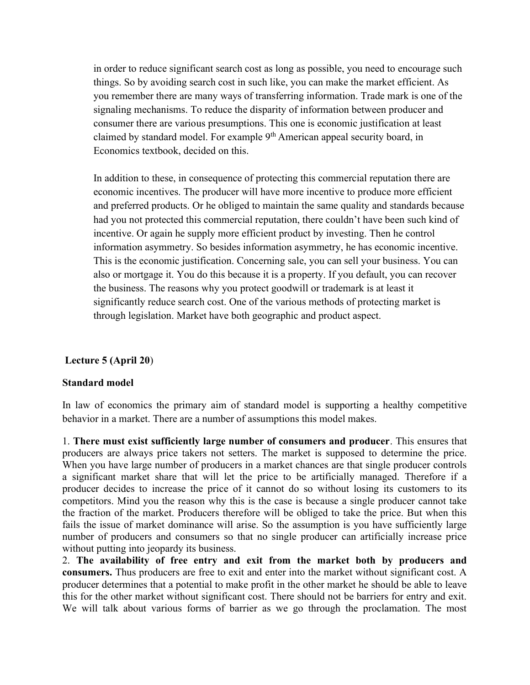in order to reduce significant search cost as long as possible, you need to encourage such things. So by avoiding search cost in such like, you can make the market efficient. As you remember there are many ways of transferring information. Trade mark is one of the signaling mechanisms. To reduce the disparity of information between producer and consumer there are various presumptions. This one is economic justification at least claimed by standard model. For example 9<sup>th</sup> American appeal security board, in Economics textbook, decided on this.

In addition to these, in consequence of protecting this commercial reputation there are economic incentives. The producer will have more incentive to produce more efficient and preferred products. Or he obliged to maintain the same quality and standards because had you not protected this commercial reputation, there couldn't have been such kind of incentive. Or again he supply more efficient product by investing. Then he control information asymmetry. So besides information asymmetry, he has economic incentive. This is the economic justification. Concerning sale, you can sell your business. You can also or mortgage it. You do this because it is a property. If you default, you can recover the business. The reasons why you protect goodwill or trademark is at least it significantly reduce search cost. One of the various methods of protecting market is through legislation. Market have both geographic and product aspect.

# Lecture 5 (April 20)

# Standard model

In law of economics the primary aim of standard model is supporting a healthy competitive behavior in a market. There are a number of assumptions this model makes.

1. There must exist sufficiently large number of consumers and producer. This ensures that producers are always price takers not setters. The market is supposed to determine the price. When you have large number of producers in a market chances are that single producer controls a significant market share that will let the price to be artificially managed. Therefore if a producer decides to increase the price of it cannot do so without losing its customers to its competitors. Mind you the reason why this is the case is because a single producer cannot take the fraction of the market. Producers therefore will be obliged to take the price. But when this fails the issue of market dominance will arise. So the assumption is you have sufficiently large number of producers and consumers so that no single producer can artificially increase price without putting into jeopardy its business.

2. The availability of free entry and exit from the market both by producers and consumers. Thus producers are free to exit and enter into the market without significant cost. A producer determines that a potential to make profit in the other market he should be able to leave this for the other market without significant cost. There should not be barriers for entry and exit. We will talk about various forms of barrier as we go through the proclamation. The most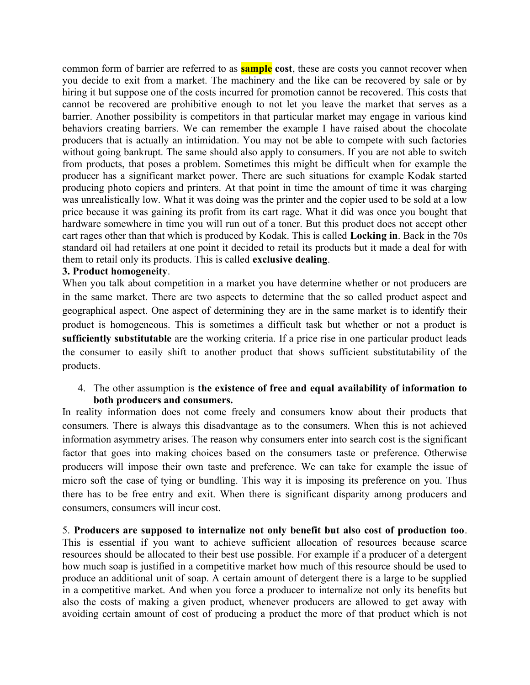common form of barrier are referred to as **sample** cost, these are costs you cannot recover when you decide to exit from a market. The machinery and the like can be recovered by sale or by hiring it but suppose one of the costs incurred for promotion cannot be recovered. This costs that cannot be recovered are prohibitive enough to not let you leave the market that serves as a barrier. Another possibility is competitors in that particular market may engage in various kind behaviors creating barriers. We can remember the example I have raised about the chocolate producers that is actually an intimidation. You may not be able to compete with such factories without going bankrupt. The same should also apply to consumers. If you are not able to switch from products, that poses a problem. Sometimes this might be difficult when for example the producer has a significant market power. There are such situations for example Kodak started producing photo copiers and printers. At that point in time the amount of time it was charging was unrealistically low. What it was doing was the printer and the copier used to be sold at a low price because it was gaining its profit from its cart rage. What it did was once you bought that hardware somewhere in time you will run out of a toner. But this product does not accept other cart rages other than that which is produced by Kodak. This is called Locking in. Back in the 70s standard oil had retailers at one point it decided to retail its products but it made a deal for with them to retail only its products. This is called exclusive dealing.

# 3. Product homogeneity.

When you talk about competition in a market you have determine whether or not producers are in the same market. There are two aspects to determine that the so called product aspect and geographical aspect. One aspect of determining they are in the same market is to identify their product is homogeneous. This is sometimes a difficult task but whether or not a product is sufficiently substitutable are the working criteria. If a price rise in one particular product leads the consumer to easily shift to another product that shows sufficient substitutability of the products.

# 4. The other assumption is the existence of free and equal availability of information to both producers and consumers.

In reality information does not come freely and consumers know about their products that consumers. There is always this disadvantage as to the consumers. When this is not achieved information asymmetry arises. The reason why consumers enter into search cost is the significant factor that goes into making choices based on the consumers taste or preference. Otherwise producers will impose their own taste and preference. We can take for example the issue of micro soft the case of tying or bundling. This way it is imposing its preference on you. Thus there has to be free entry and exit. When there is significant disparity among producers and consumers, consumers will incur cost.

5. Producers are supposed to internalize not only benefit but also cost of production too. This is essential if you want to achieve sufficient allocation of resources because scarce resources should be allocated to their best use possible. For example if a producer of a detergent how much soap is justified in a competitive market how much of this resource should be used to produce an additional unit of soap. A certain amount of detergent there is a large to be supplied in a competitive market. And when you force a producer to internalize not only its benefits but also the costs of making a given product, whenever producers are allowed to get away with avoiding certain amount of cost of producing a product the more of that product which is not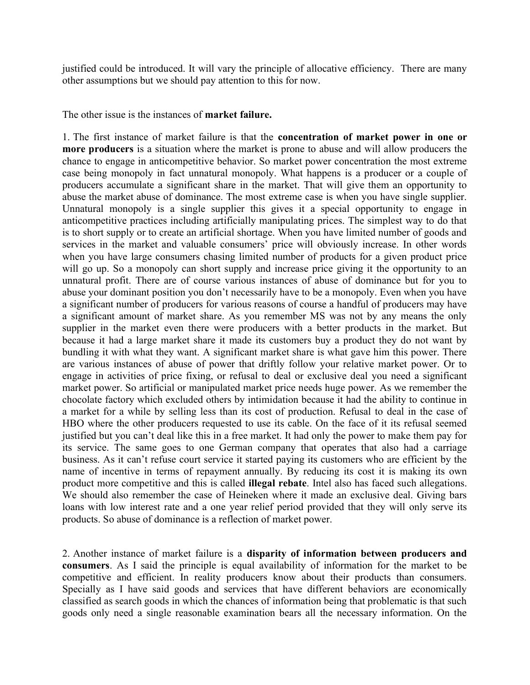justified could be introduced. It will vary the principle of allocative efficiency. There are many other assumptions but we should pay attention to this for now.

The other issue is the instances of **market failure**.

1. The first instance of market failure is that the concentration of market power in one or more producers is a situation where the market is prone to abuse and will allow producers the chance to engage in anticompetitive behavior. So market power concentration the most extreme case being monopoly in fact unnatural monopoly. What happens is a producer or a couple of producers accumulate a significant share in the market. That will give them an opportunity to abuse the market abuse of dominance. The most extreme case is when you have single supplier. Unnatural monopoly is a single supplier this gives it a special opportunity to engage in anticompetitive practices including artificially manipulating prices. The simplest way to do that is to short supply or to create an artificial shortage. When you have limited number of goods and services in the market and valuable consumers' price will obviously increase. In other words when you have large consumers chasing limited number of products for a given product price will go up. So a monopoly can short supply and increase price giving it the opportunity to an unnatural profit. There are of course various instances of abuse of dominance but for you to abuse your dominant position you don't necessarily have to be a monopoly. Even when you have a significant number of producers for various reasons of course a handful of producers may have a significant amount of market share. As you remember MS was not by any means the only supplier in the market even there were producers with a better products in the market. But because it had a large market share it made its customers buy a product they do not want by bundling it with what they want. A significant market share is what gave him this power. There are various instances of abuse of power that driftly follow your relative market power. Or to engage in activities of price fixing, or refusal to deal or exclusive deal you need a significant market power. So artificial or manipulated market price needs huge power. As we remember the chocolate factory which excluded others by intimidation because it had the ability to continue in a market for a while by selling less than its cost of production. Refusal to deal in the case of HBO where the other producers requested to use its cable. On the face of it its refusal seemed justified but you can't deal like this in a free market. It had only the power to make them pay for its service. The same goes to one German company that operates that also had a carriage business. As it can't refuse court service it started paying its customers who are efficient by the name of incentive in terms of repayment annually. By reducing its cost it is making its own product more competitive and this is called illegal rebate. Intel also has faced such allegations. We should also remember the case of Heineken where it made an exclusive deal. Giving bars loans with low interest rate and a one year relief period provided that they will only serve its products. So abuse of dominance is a reflection of market power.

2. Another instance of market failure is a disparity of information between producers and consumers. As I said the principle is equal availability of information for the market to be competitive and efficient. In reality producers know about their products than consumers. Specially as I have said goods and services that have different behaviors are economically classified as search goods in which the chances of information being that problematic is that such goods only need a single reasonable examination bears all the necessary information. On the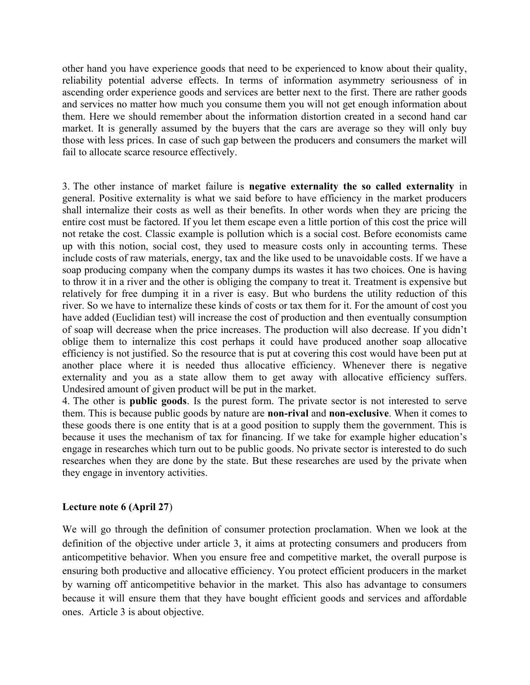other hand you have experience goods that need to be experienced to know about their quality, reliability potential adverse effects. In terms of information asymmetry seriousness of in ascending order experience goods and services are better next to the first. There are rather goods and services no matter how much you consume them you will not get enough information about them. Here we should remember about the information distortion created in a second hand car market. It is generally assumed by the buyers that the cars are average so they will only buy those with less prices. In case of such gap between the producers and consumers the market will fail to allocate scarce resource effectively.

3. The other instance of market failure is negative externality the so called externality in general. Positive externality is what we said before to have efficiency in the market producers shall internalize their costs as well as their benefits. In other words when they are pricing the entire cost must be factored. If you let them escape even a little portion of this cost the price will not retake the cost. Classic example is pollution which is a social cost. Before economists came up with this notion, social cost, they used to measure costs only in accounting terms. These include costs of raw materials, energy, tax and the like used to be unavoidable costs. If we have a soap producing company when the company dumps its wastes it has two choices. One is having to throw it in a river and the other is obliging the company to treat it. Treatment is expensive but relatively for free dumping it in a river is easy. But who burdens the utility reduction of this river. So we have to internalize these kinds of costs or tax them for it. For the amount of cost you have added (Euclidian test) will increase the cost of production and then eventually consumption of soap will decrease when the price increases. The production will also decrease. If you didn't oblige them to internalize this cost perhaps it could have produced another soap allocative efficiency is not justified. So the resource that is put at covering this cost would have been put at another place where it is needed thus allocative efficiency. Whenever there is negative externality and you as a state allow them to get away with allocative efficiency suffers. Undesired amount of given product will be put in the market.

4. The other is public goods. Is the purest form. The private sector is not interested to serve them. This is because public goods by nature are non-rival and non-exclusive. When it comes to these goods there is one entity that is at a good position to supply them the government. This is because it uses the mechanism of tax for financing. If we take for example higher education's engage in researches which turn out to be public goods. No private sector is interested to do such researches when they are done by the state. But these researches are used by the private when they engage in inventory activities.

# Lecture note 6 (April 27)

We will go through the definition of consumer protection proclamation. When we look at the definition of the objective under article 3, it aims at protecting consumers and producers from anticompetitive behavior. When you ensure free and competitive market, the overall purpose is ensuring both productive and allocative efficiency. You protect efficient producers in the market by warning off anticompetitive behavior in the market. This also has advantage to consumers because it will ensure them that they have bought efficient goods and services and affordable ones. Article 3 is about objective.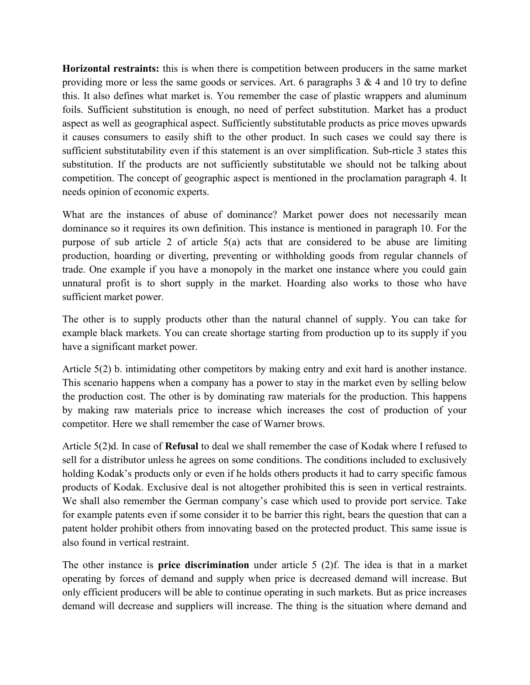Horizontal restraints: this is when there is competition between producers in the same market providing more or less the same goods or services. Art. 6 paragraphs  $3 \& 4$  and  $10$  try to define this. It also defines what market is. You remember the case of plastic wrappers and aluminum foils. Sufficient substitution is enough, no need of perfect substitution. Market has a product aspect as well as geographical aspect. Sufficiently substitutable products as price moves upwards it causes consumers to easily shift to the other product. In such cases we could say there is sufficient substitutability even if this statement is an over simplification. Sub-rticle 3 states this substitution. If the products are not sufficiently substitutable we should not be talking about competition. The concept of geographic aspect is mentioned in the proclamation paragraph 4. It needs opinion of economic experts.

What are the instances of abuse of dominance? Market power does not necessarily mean dominance so it requires its own definition. This instance is mentioned in paragraph 10. For the purpose of sub article 2 of article 5(a) acts that are considered to be abuse are limiting production, hoarding or diverting, preventing or withholding goods from regular channels of trade. One example if you have a monopoly in the market one instance where you could gain unnatural profit is to short supply in the market. Hoarding also works to those who have sufficient market power.

The other is to supply products other than the natural channel of supply. You can take for example black markets. You can create shortage starting from production up to its supply if you have a significant market power.

Article 5(2) b. intimidating other competitors by making entry and exit hard is another instance. This scenario happens when a company has a power to stay in the market even by selling below the production cost. The other is by dominating raw materials for the production. This happens by making raw materials price to increase which increases the cost of production of your competitor. Here we shall remember the case of Warner brows.

Article 5(2)d. In case of Refusal to deal we shall remember the case of Kodak where I refused to sell for a distributor unless he agrees on some conditions. The conditions included to exclusively holding Kodak's products only or even if he holds others products it had to carry specific famous products of Kodak. Exclusive deal is not altogether prohibited this is seen in vertical restraints. We shall also remember the German company's case which used to provide port service. Take for example patents even if some consider it to be barrier this right, bears the question that can a patent holder prohibit others from innovating based on the protected product. This same issue is also found in vertical restraint.

The other instance is **price discrimination** under article 5 (2)f. The idea is that in a market operating by forces of demand and supply when price is decreased demand will increase. But only efficient producers will be able to continue operating in such markets. But as price increases demand will decrease and suppliers will increase. The thing is the situation where demand and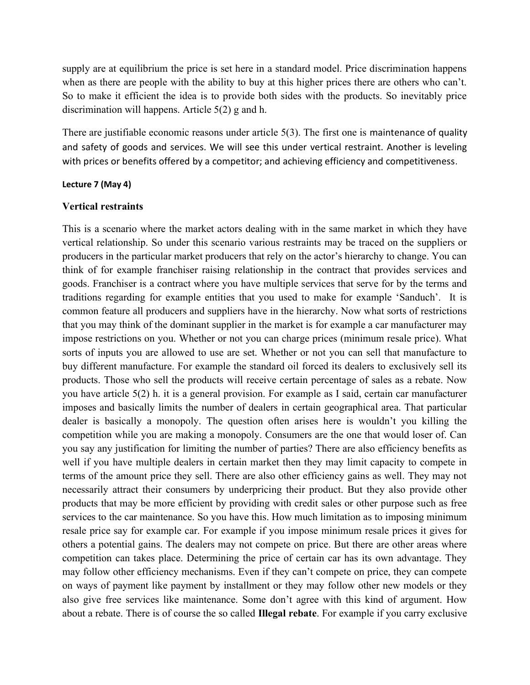supply are at equilibrium the price is set here in a standard model. Price discrimination happens when as there are people with the ability to buy at this higher prices there are others who can't. So to make it efficient the idea is to provide both sides with the products. So inevitably price discrimination will happens. Article 5(2) g and h.

There are justifiable economic reasons under article 5(3). The first one is maintenance of quality and safety of goods and services. We will see this under vertical restraint. Another is leveling with prices or benefits offered by a competitor; and achieving efficiency and competitiveness.

#### Lecture 7 (May 4)

#### Vertical restraints

This is a scenario where the market actors dealing with in the same market in which they have vertical relationship. So under this scenario various restraints may be traced on the suppliers or producers in the particular market producers that rely on the actor's hierarchy to change. You can think of for example franchiser raising relationship in the contract that provides services and goods. Franchiser is a contract where you have multiple services that serve for by the terms and traditions regarding for example entities that you used to make for example 'Sanduch'. It is common feature all producers and suppliers have in the hierarchy. Now what sorts of restrictions that you may think of the dominant supplier in the market is for example a car manufacturer may impose restrictions on you. Whether or not you can charge prices (minimum resale price). What sorts of inputs you are allowed to use are set. Whether or not you can sell that manufacture to buy different manufacture. For example the standard oil forced its dealers to exclusively sell its products. Those who sell the products will receive certain percentage of sales as a rebate. Now you have article 5(2) h. it is a general provision. For example as I said, certain car manufacturer imposes and basically limits the number of dealers in certain geographical area. That particular dealer is basically a monopoly. The question often arises here is wouldn't you killing the competition while you are making a monopoly. Consumers are the one that would loser of. Can you say any justification for limiting the number of parties? There are also efficiency benefits as well if you have multiple dealers in certain market then they may limit capacity to compete in terms of the amount price they sell. There are also other efficiency gains as well. They may not necessarily attract their consumers by underpricing their product. But they also provide other products that may be more efficient by providing with credit sales or other purpose such as free services to the car maintenance. So you have this. How much limitation as to imposing minimum resale price say for example car. For example if you impose minimum resale prices it gives for others a potential gains. The dealers may not compete on price. But there are other areas where competition can takes place. Determining the price of certain car has its own advantage. They may follow other efficiency mechanisms. Even if they can't compete on price, they can compete on ways of payment like payment by installment or they may follow other new models or they also give free services like maintenance. Some don't agree with this kind of argument. How about a rebate. There is of course the so called Illegal rebate. For example if you carry exclusive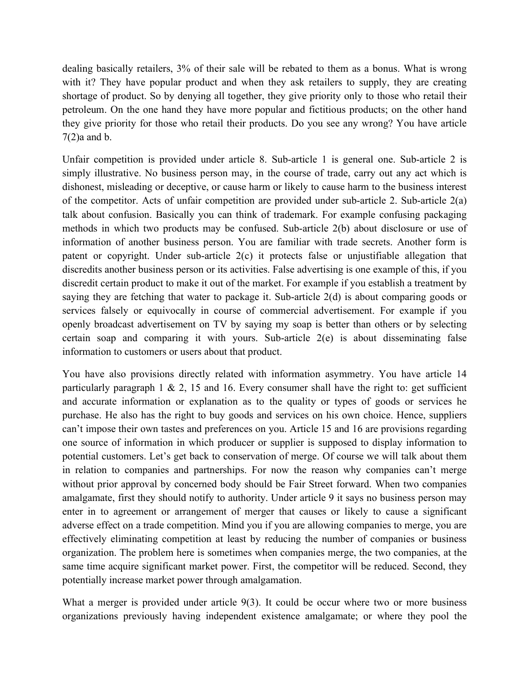dealing basically retailers, 3% of their sale will be rebated to them as a bonus. What is wrong with it? They have popular product and when they ask retailers to supply, they are creating shortage of product. So by denying all together, they give priority only to those who retail their petroleum. On the one hand they have more popular and fictitious products; on the other hand they give priority for those who retail their products. Do you see any wrong? You have article 7(2)a and b.

Unfair competition is provided under article 8. Sub-article 1 is general one. Sub-article 2 is simply illustrative. No business person may, in the course of trade, carry out any act which is dishonest, misleading or deceptive, or cause harm or likely to cause harm to the business interest of the competitor. Acts of unfair competition are provided under sub-article 2. Sub-article 2(a) talk about confusion. Basically you can think of trademark. For example confusing packaging methods in which two products may be confused. Sub-article 2(b) about disclosure or use of information of another business person. You are familiar with trade secrets. Another form is patent or copyright. Under sub-article 2(c) it protects false or unjustifiable allegation that discredits another business person or its activities. False advertising is one example of this, if you discredit certain product to make it out of the market. For example if you establish a treatment by saying they are fetching that water to package it. Sub-article 2(d) is about comparing goods or services falsely or equivocally in course of commercial advertisement. For example if you openly broadcast advertisement on TV by saying my soap is better than others or by selecting certain soap and comparing it with yours. Sub-article 2(e) is about disseminating false information to customers or users about that product.

You have also provisions directly related with information asymmetry. You have article 14 particularly paragraph 1  $\& 2$ , 15 and 16. Every consumer shall have the right to: get sufficient and accurate information or explanation as to the quality or types of goods or services he purchase. He also has the right to buy goods and services on his own choice. Hence, suppliers can't impose their own tastes and preferences on you. Article 15 and 16 are provisions regarding one source of information in which producer or supplier is supposed to display information to potential customers. Let's get back to conservation of merge. Of course we will talk about them in relation to companies and partnerships. For now the reason why companies can't merge without prior approval by concerned body should be Fair Street forward. When two companies amalgamate, first they should notify to authority. Under article 9 it says no business person may enter in to agreement or arrangement of merger that causes or likely to cause a significant adverse effect on a trade competition. Mind you if you are allowing companies to merge, you are effectively eliminating competition at least by reducing the number of companies or business organization. The problem here is sometimes when companies merge, the two companies, at the same time acquire significant market power. First, the competitor will be reduced. Second, they potentially increase market power through amalgamation.

What a merger is provided under article 9(3). It could be occur where two or more business organizations previously having independent existence amalgamate; or where they pool the